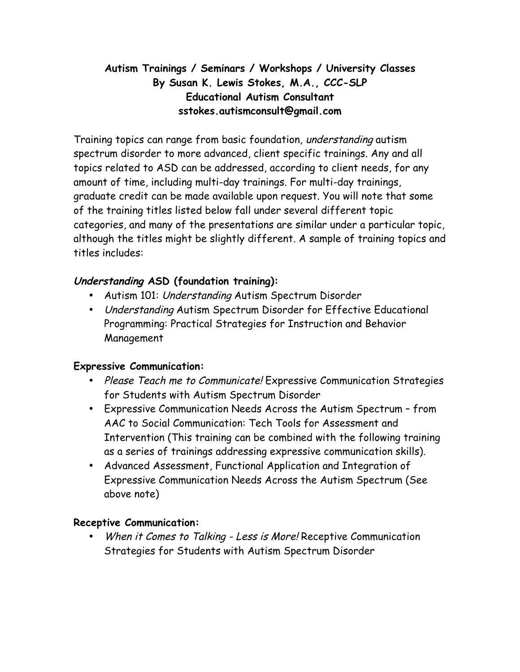# **Autism Trainings / Seminars / Workshops / University Classes By Susan K. Lewis Stokes, M.A., CCC-SLP Educational Autism Consultant sstokes.autismconsult@gmail.com**

Training topics can range from basic foundation, understanding autism spectrum disorder to more advanced, client specific trainings. Any and all topics related to ASD can be addressed, according to client needs, for any amount of time, including multi-day trainings. For multi-day trainings, graduate credit can be made available upon request. You will note that some of the training titles listed below fall under several different topic categories, and many of the presentations are similar under a particular topic, although the titles might be slightly different. A sample of training topics and titles includes:

## **Understanding ASD (foundation training):**

- Autism 101: Understanding Autism Spectrum Disorder
- Understanding Autism Spectrum Disorder for Effective Educational Programming: Practical Strategies for Instruction and Behavior Management

### **Expressive Communication:**

- Please Teach me to Communicate! Expressive Communication Strategies for Students with Autism Spectrum Disorder
- Expressive Communication Needs Across the Autism Spectrum from AAC to Social Communication: Tech Tools for Assessment and Intervention (This training can be combined with the following training as a series of trainings addressing expressive communication skills).
- Advanced Assessment, Functional Application and Integration of Expressive Communication Needs Across the Autism Spectrum (See above note)

### **Receptive Communication:**

When it Comes to Talking - Less is More! Receptive Communication Strategies for Students with Autism Spectrum Disorder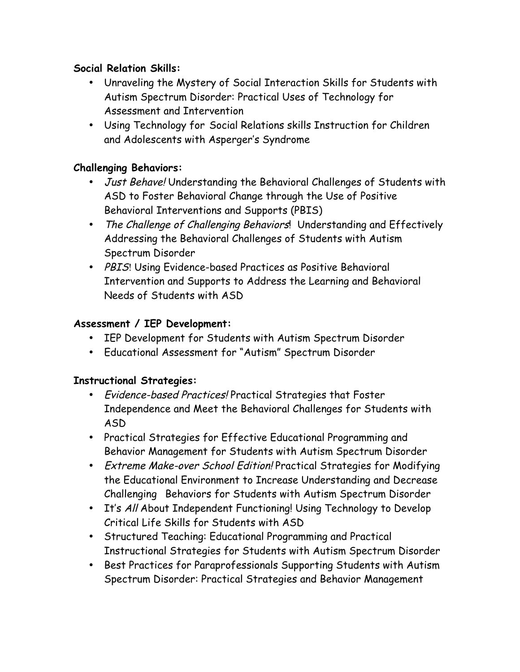### **Social Relation Skills:**

- Unraveling the Mystery of Social Interaction Skills for Students with Autism Spectrum Disorder: Practical Uses of Technology for Assessment and Intervention
- Using Technology for Social Relations skills Instruction for Children and Adolescents with Asperger's Syndrome

#### **Challenging Behaviors:**

- Just Behave! Understanding the Behavioral Challenges of Students with ASD to Foster Behavioral Change through the Use of Positive Behavioral Interventions and Supports (PBIS)
- The Challenge of Challenging Behaviors! Understanding and Effectively Addressing the Behavioral Challenges of Students with Autism Spectrum Disorder
- PBIS! Using Evidence-based Practices as Positive Behavioral Intervention and Supports to Address the Learning and Behavioral Needs of Students with ASD

#### **Assessment / IEP Development:**

- IEP Development for Students with Autism Spectrum Disorder
- Educational Assessment for "Autism" Spectrum Disorder

### **Instructional Strategies:**

- Evidence-based Practices! Practical Strategies that Foster Independence and Meet the Behavioral Challenges for Students with ASD
- Practical Strategies for Effective Educational Programming and Behavior Management for Students with Autism Spectrum Disorder
- Extreme Make-over School Edition! Practical Strategies for Modifying the Educational Environment to Increase Understanding and Decrease Challenging Behaviors for Students with Autism Spectrum Disorder
- It's All About Independent Functioning! Using Technology to Develop Critical Life Skills for Students with ASD
- Structured Teaching: Educational Programming and Practical Instructional Strategies for Students with Autism Spectrum Disorder
- Best Practices for Paraprofessionals Supporting Students with Autism Spectrum Disorder: Practical Strategies and Behavior Management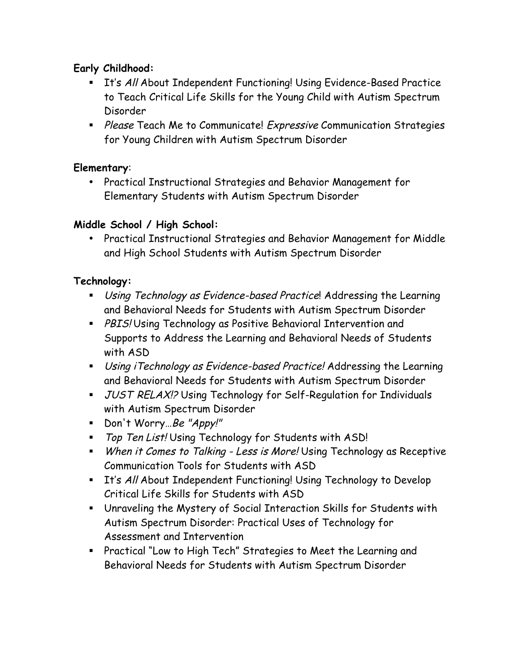## **Early Childhood:**

- **It's All About Independent Functioning! Using Evidence-Based Practice** to Teach Critical Life Skills for the Young Child with Autism Spectrum Disorder
- **EXPLEASE Teach Me to Communicate!** Expressive Communication Strategies for Young Children with Autism Spectrum Disorder

### **Elementary**:

• Practical Instructional Strategies and Behavior Management for Elementary Students with Autism Spectrum Disorder

## **Middle School / High School:**

• Practical Instructional Strategies and Behavior Management for Middle and High School Students with Autism Spectrum Disorder

### **Technology:**

- **E.** Using Technology as Evidence-based Practice! Addressing the Learning and Behavioral Needs for Students with Autism Spectrum Disorder
- **PBIS! Using Technology as Positive Behavioral Intervention and** Supports to Address the Learning and Behavioral Needs of Students with ASD
- ! Using iTechnology as Evidence-based Practice! Addressing the Learning and Behavioral Needs for Students with Autism Spectrum Disorder
- **JUST RELAX!?** Using Technology for Self-Regulation for Individuals with Autism Spectrum Disorder
- Don't Worry…Be "Appy!"
- " Top Ten List! Using Technology for Students with ASD!
- **When it Comes to Talking Less is More! Using Technology as Receptive** Communication Tools for Students with ASD
- **EXT** It's All About Independent Functioning! Using Technology to Develop Critical Life Skills for Students with ASD
- ! Unraveling the Mystery of Social Interaction Skills for Students with Autism Spectrum Disorder: Practical Uses of Technology for Assessment and Intervention
- ! Practical "Low to High Tech" Strategies to Meet the Learning and Behavioral Needs for Students with Autism Spectrum Disorder